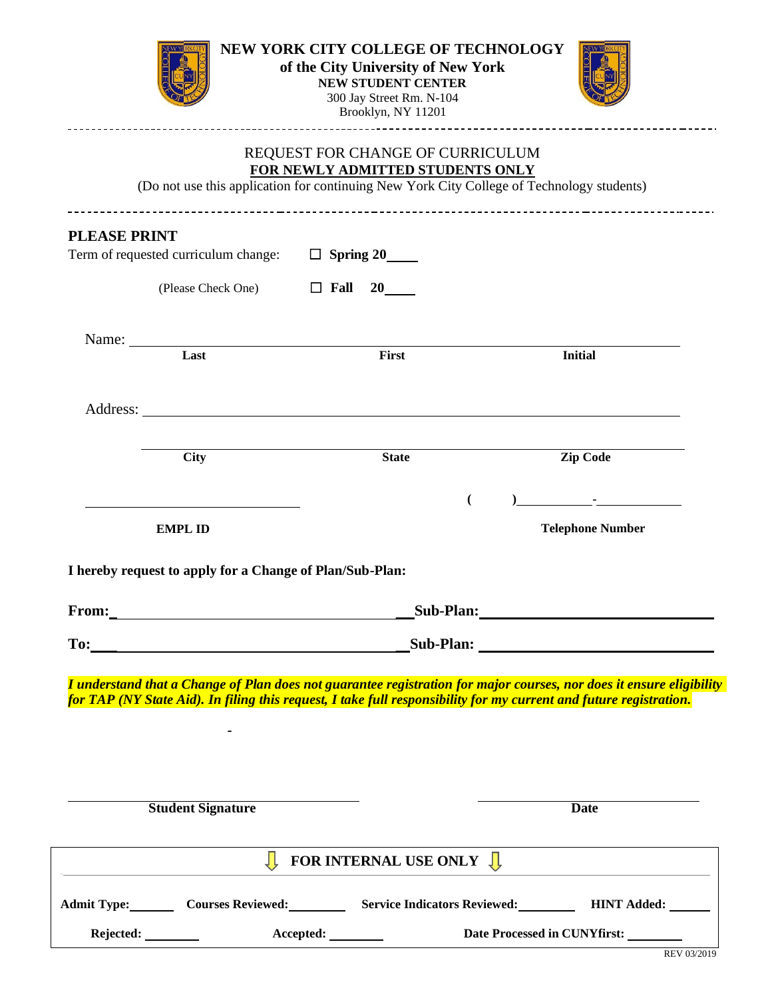|                          |                                                          | Brooklyn, NY 11201                                                                                                                                                |                                                                                                                                                                                                                                            |  |
|--------------------------|----------------------------------------------------------|-------------------------------------------------------------------------------------------------------------------------------------------------------------------|--------------------------------------------------------------------------------------------------------------------------------------------------------------------------------------------------------------------------------------------|--|
|                          |                                                          | REQUEST FOR CHANGE OF CURRICULUM<br>FOR NEWLY ADMITTED STUDENTS ONLY<br>(Do not use this application for continuing New York City College of Technology students) |                                                                                                                                                                                                                                            |  |
|                          |                                                          |                                                                                                                                                                   |                                                                                                                                                                                                                                            |  |
| <b>PLEASE PRINT</b>      | Term of requested curriculum change: $\Box$ Spring 20    |                                                                                                                                                                   |                                                                                                                                                                                                                                            |  |
|                          | (Please Check One) $\Box$ Fall 20                        |                                                                                                                                                                   |                                                                                                                                                                                                                                            |  |
|                          | Last                                                     | First                                                                                                                                                             | <b>Initial</b>                                                                                                                                                                                                                             |  |
|                          |                                                          |                                                                                                                                                                   |                                                                                                                                                                                                                                            |  |
|                          |                                                          | Address:                                                                                                                                                          |                                                                                                                                                                                                                                            |  |
|                          | <b>City</b>                                              | <b>State</b>                                                                                                                                                      | <b>Zip Code</b>                                                                                                                                                                                                                            |  |
|                          |                                                          | $\overline{(}$                                                                                                                                                    |                                                                                                                                                                                                                                            |  |
| <b>EMPL ID</b>           |                                                          | <b>Telephone Number</b>                                                                                                                                           |                                                                                                                                                                                                                                            |  |
|                          | I hereby request to apply for a Change of Plan/Sub-Plan: |                                                                                                                                                                   |                                                                                                                                                                                                                                            |  |
|                          |                                                          |                                                                                                                                                                   |                                                                                                                                                                                                                                            |  |
|                          |                                                          | To: Sub-Plan:                                                                                                                                                     |                                                                                                                                                                                                                                            |  |
|                          |                                                          |                                                                                                                                                                   | I understand that a Change of Plan does not guarantee registration for major courses, nor does it ensure eligibility<br>for TAP (NY State Aid). In filing this request, I take full responsibility for my current and future registration. |  |
|                          |                                                          |                                                                                                                                                                   |                                                                                                                                                                                                                                            |  |
|                          |                                                          |                                                                                                                                                                   |                                                                                                                                                                                                                                            |  |
| <b>Student Signature</b> |                                                          |                                                                                                                                                                   | <b>Date</b>                                                                                                                                                                                                                                |  |
|                          |                                                          |                                                                                                                                                                   |                                                                                                                                                                                                                                            |  |